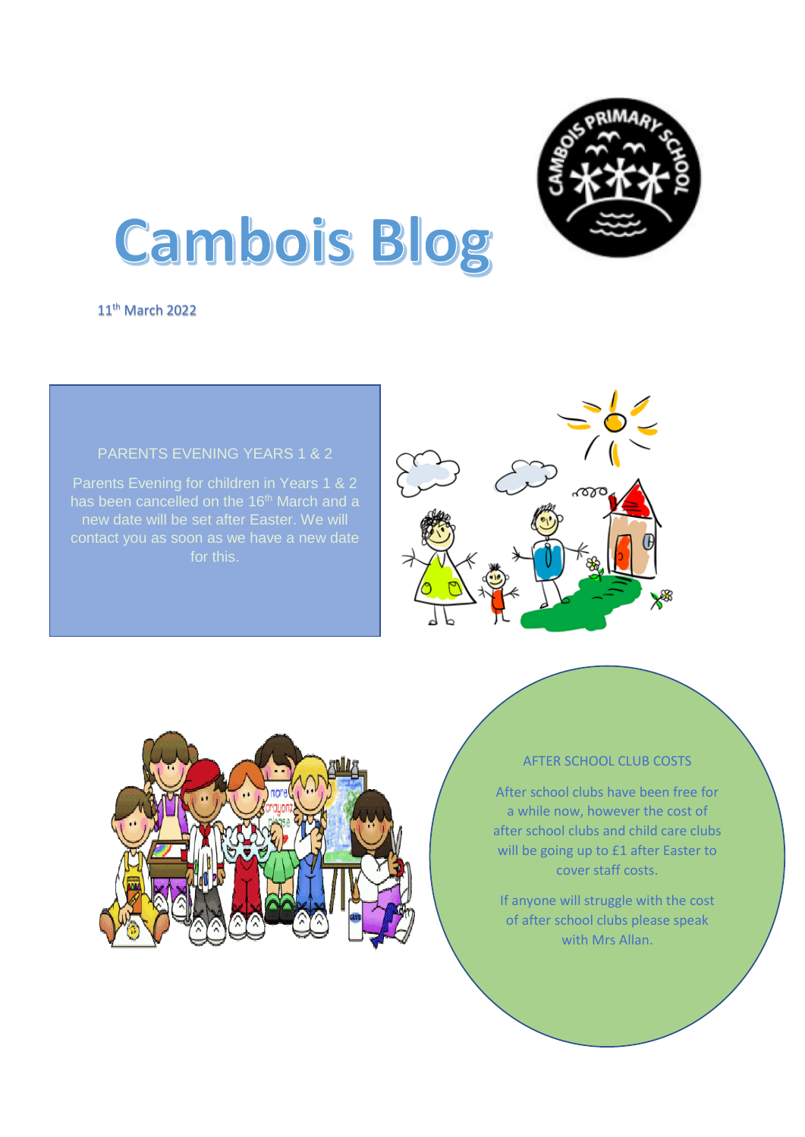

# **Cambois Blog**

11<sup>th</sup> March 2022

## PARENTS EVENING YEARS 1 & 2

Parents Evening for children in Years 1 & 2 contact you as soon as we have a new date for this.





### AFTER SCHOOL CLUB COSTS

After school clubs have been free for a while now, however the cost of after school clubs and child care clubs will be going up to £1 after Easter to cover staff costs.

If anyone will struggle with the cost of after school clubs please speak with Mrs Allan.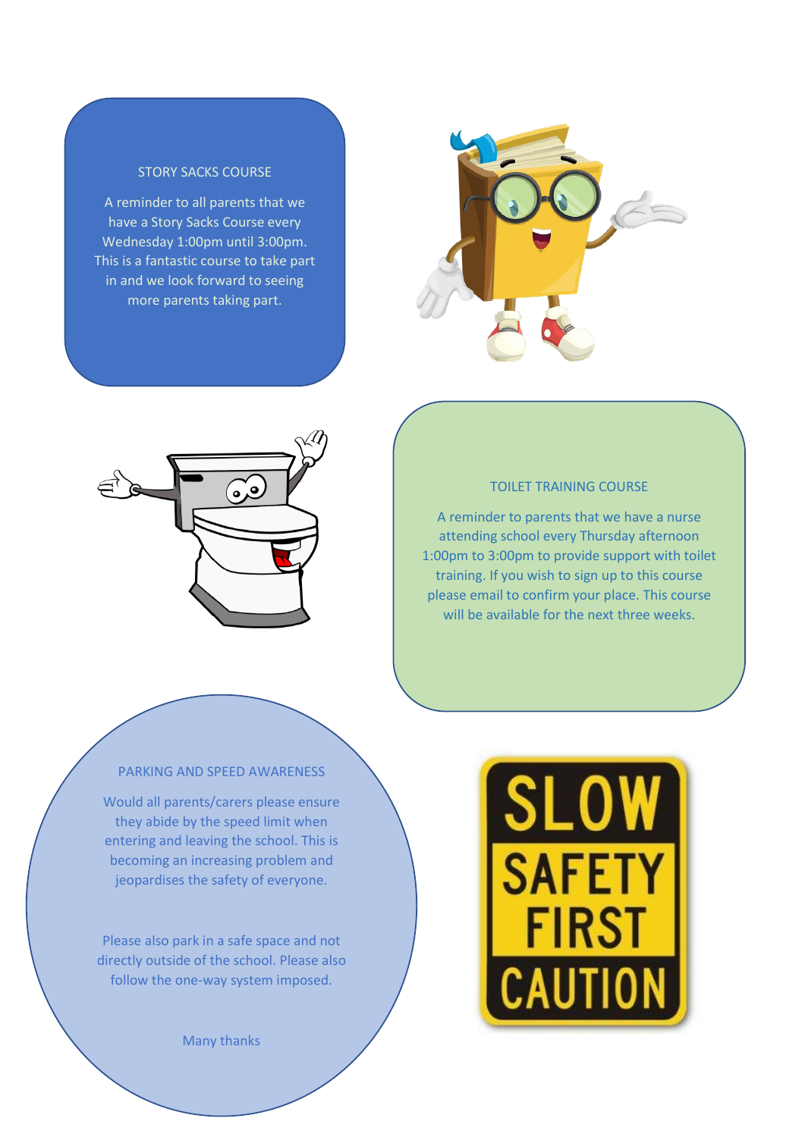## STORY SACKS COURSE

A reminder to all parents that we have a Story Sacks Course every Wednesday 1:00pm until 3:00pm. This is a fantastic course to take part in and we look forward to seeing more parents taking part.





#### TOILET TRAINING COURSE

A reminder to parents that we have a nurse attending school every Thursday afternoon 1:00pm to 3:00pm to provide support with toilet training. If you wish to sign up to this course please email to confirm your place. This course will be available for the next three weeks.

#### PARKING AND SPEED AWARENESS

Would all parents/carers please ensure they abide by the speed limit when entering and leaving the school. This is becoming an increasing problem and jeopardises the safety of everyone.

Please also park in a safe space and not directly outside of the school. Please also follow the one-way system imposed.

Many thanks

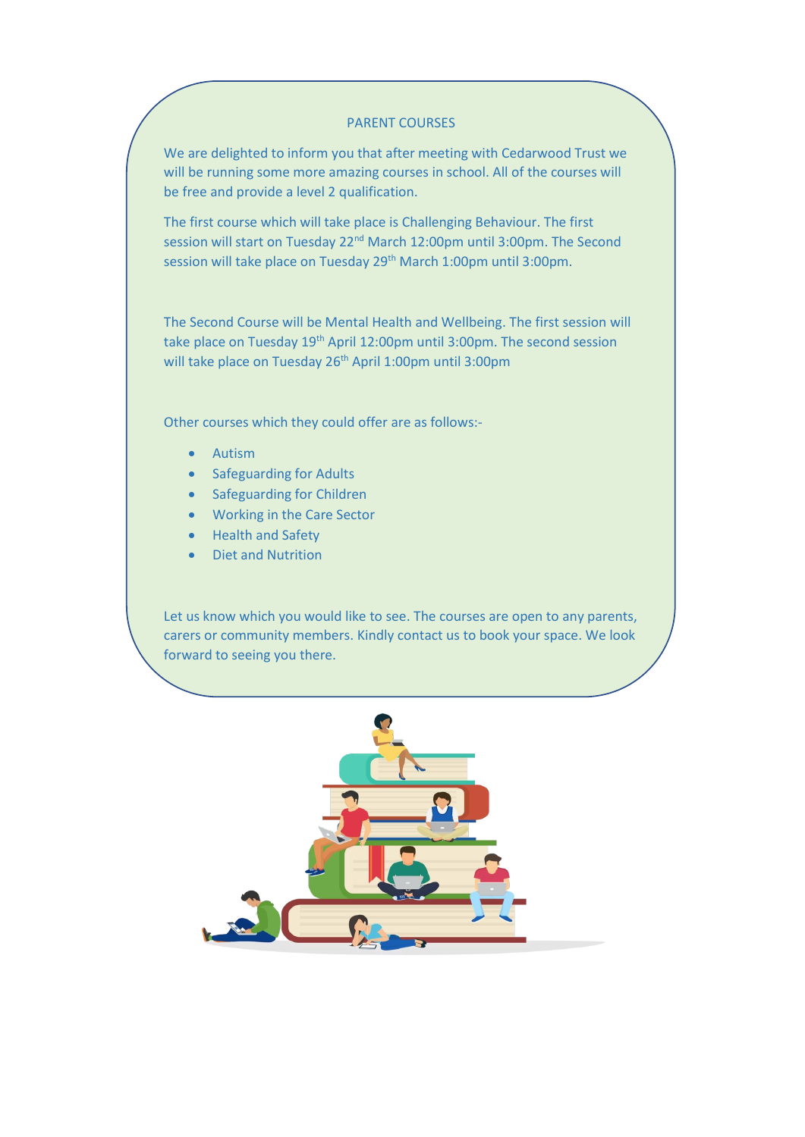#### PARENT COURSES

We are delighted to inform you that after meeting with Cedarwood Trust we will be running some more amazing courses in school. All of the courses will be free and provide a level 2 qualification.

The first course which will take place is Challenging Behaviour. The first session will start on Tuesday 22<sup>nd</sup> March 12:00pm until 3:00pm. The Second session will take place on Tuesday 29<sup>th</sup> March 1:00pm until 3:00pm.

The Second Course will be Mental Health and Wellbeing. The first session will take place on Tuesday 19<sup>th</sup> April 12:00pm until 3:00pm. The second session will take place on Tuesday 26<sup>th</sup> April 1:00pm until 3:00pm

Other courses which they could offer are as follows:-

- Autism
- Safeguarding for Adults
- Safeguarding for Children
- Working in the Care Sector
- Health and Safety
- Diet and Nutrition

Let us know which you would like to see. The courses are open to any parents, carers or community members. Kindly contact us to book your space. We look forward to seeing you there.